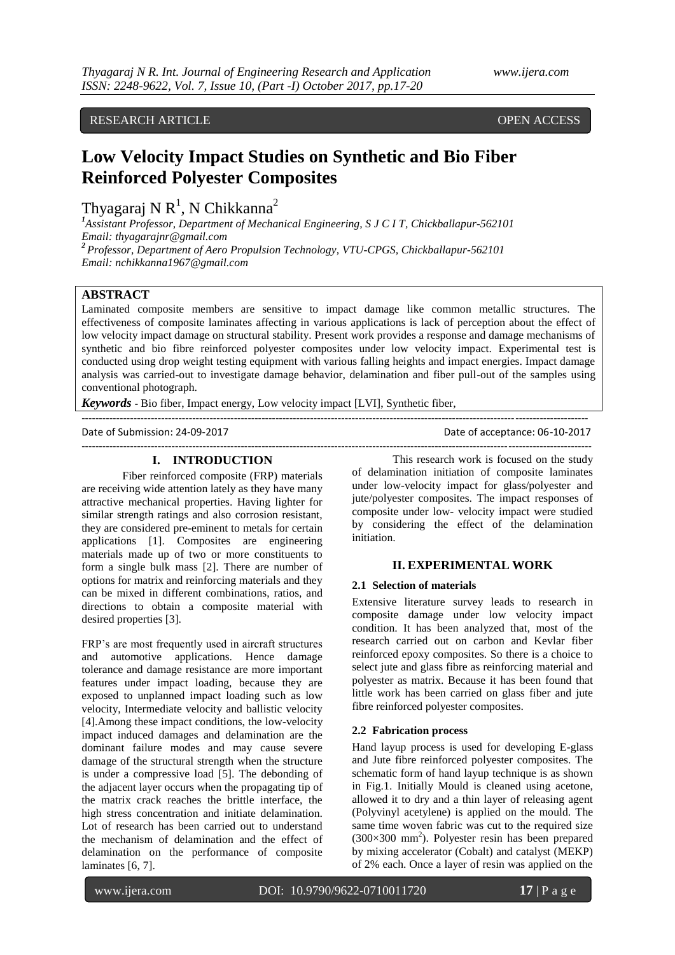RESEARCH ARTICLE **CONTRACT ARTICLE** AND LOTE OPEN ACCESS OPEN ACCESS

# **Low Velocity Impact Studies on Synthetic and Bio Fiber Reinforced Polyester Composites**

Thyagaraj N $R^1$ , N $Chikkanna^2$ 

*<sup>1</sup>Assistant Professor, Department of Mechanical Engineering, S J C I T, Chickballapur-562101 Email: thyagarajnr@gmail.com <sup>2</sup> Professor, Department of Aero Propulsion Technology, VTU-CPGS, Chickballapur-562101 Email: nchikkanna1967@gmail.com*

## **ABSTRACT**

Laminated composite members are sensitive to impact damage like common metallic structures. The effectiveness of composite laminates affecting in various applications is lack of perception about the effect of low velocity impact damage on structural stability. Present work provides a response and damage mechanisms of synthetic and bio fibre reinforced polyester composites under low velocity impact. Experimental test is conducted using drop weight testing equipment with various falling heights and impact energies. Impact damage analysis was carried-out to investigate damage behavior, delamination and fiber pull-out of the samples using conventional photograph.

--------------------------------------------------------------------------------------------------------------------------------------------------

---------------------------------------------------------------------------------------------------------------------------------------------------

*Keywords* - Bio fiber, Impact energy, Low velocity impact [LVI], Synthetic fiber,

Date of Submission: 24-09-2017 Date of acceptance: 06-10-2017

#### **I. INTRODUCTION**

Fiber reinforced composite (FRP) materials are receiving wide attention lately as they have many attractive mechanical properties. Having lighter for similar strength ratings and also corrosion resistant, they are considered pre-eminent to metals for certain applications [1]. Composites are engineering materials made up of two or more constituents to form a single bulk mass [2]. There are number of options for matrix and reinforcing materials and they can be mixed in different combinations, ratios, and directions to obtain a composite material with desired properties [3].

FRP's are most frequently used in aircraft structures and automotive applications. Hence damage tolerance and damage resistance are more important features under impact loading, because they are exposed to unplanned impact loading such as low velocity, Intermediate velocity and ballistic velocity [4].Among these impact conditions, the low-velocity impact induced damages and delamination are the dominant failure modes and may cause severe damage of the structural strength when the structure is under a compressive load [5]. The debonding of the adjacent layer occurs when the propagating tip of the matrix crack reaches the brittle interface, the high stress concentration and initiate delamination. Lot of research has been carried out to understand the mechanism of delamination and the effect of delamination on the performance of composite laminates [6, 7].

This research work is focused on the study of delamination initiation of composite laminates under low-velocity impact for glass/polyester and jute/polyester composites. The impact responses of composite under low- velocity impact were studied by considering the effect of the delamination initiation.

#### **II. EXPERIMENTAL WORK**

#### **2.1 Selection of materials**

Extensive literature survey leads to research in composite damage under low velocity impact condition. It has been analyzed that, most of the research carried out on carbon and Kevlar fiber reinforced epoxy composites. So there is a choice to select jute and glass fibre as reinforcing material and polyester as matrix. Because it has been found that little work has been carried on glass fiber and jute fibre reinforced polyester composites.

#### **2.2 Fabrication process**

Hand layup process is used for developing E-glass and Jute fibre reinforced polyester composites. The schematic form of hand layup technique is as shown in Fig.1. Initially Mould is cleaned using acetone, allowed it to dry and a thin layer of releasing agent (Polyvinyl acetylene) is applied on the mould. The same time woven fabric was cut to the required size  $(300\times300$  mm<sup>2</sup>). Polyester resin has been prepared by mixing accelerator (Cobalt) and catalyst (MEKP) of 2% each. Once a layer of resin was applied on the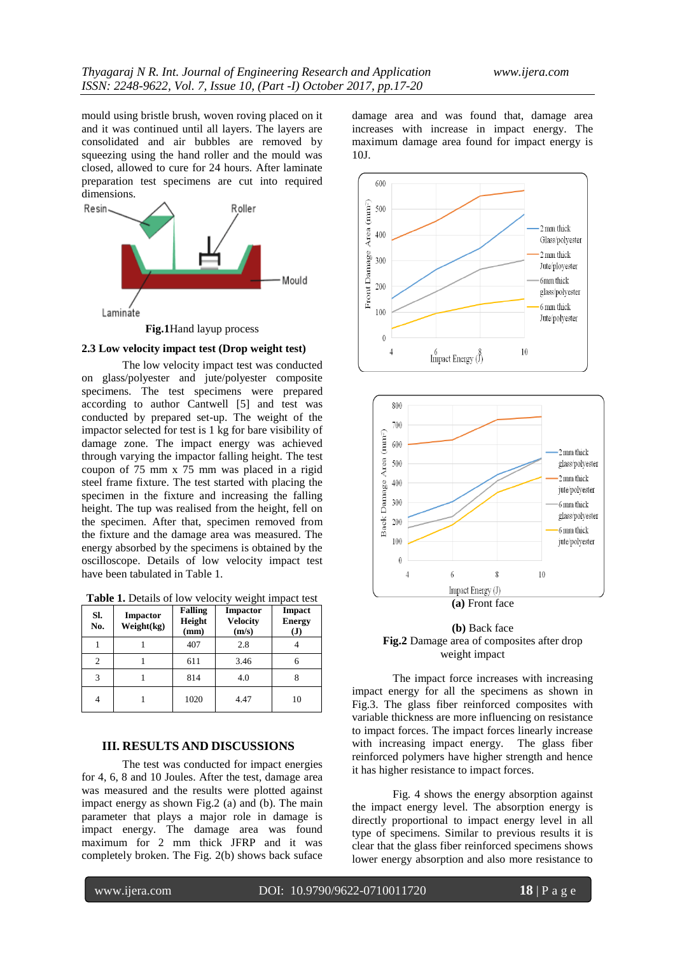mould using bristle brush, woven roving placed on it and it was continued until all layers. The layers are consolidated and air bubbles are removed by squeezing using the hand roller and the mould was closed, allowed to cure for 24 hours. After laminate preparation test specimens are cut into required dimensions.



**Fig.1**Hand layup process

### **2.3 Low velocity impact test (Drop weight test)**

The low velocity impact test was conducted on glass/polyester and jute/polyester composite specimens. The test specimens were prepared according to author Cantwell [5] and test was conducted by prepared set-up. The weight of the impactor selected for test is 1 kg for bare visibility of damage zone. The impact energy was achieved through varying the impactor falling height. The test coupon of 75 mm x 75 mm was placed in a rigid steel frame fixture. The test started with placing the specimen in the fixture and increasing the falling height. The tup was realised from the height, fell on the specimen. After that, specimen removed from the fixture and the damage area was measured. The energy absorbed by the specimens is obtained by the oscilloscope. Details of low velocity impact test have been tabulated in Table 1.

**Table 1.** Details of low velocity weight impact test

| SI.<br>No. | <b>Impactor</b><br>Weight(kg) | <b>Falling</b><br>Height<br>(mm) | <b>Impactor</b><br><b>Velocity</b><br>(m/s) | Impact<br><b>Energy</b><br>$\bf (J)$ |
|------------|-------------------------------|----------------------------------|---------------------------------------------|--------------------------------------|
|            |                               | 407                              | 2.8                                         |                                      |
|            |                               | 611                              | 3.46                                        |                                      |
|            |                               | 814                              | 4.0                                         |                                      |
|            |                               | 1020                             | 4.47                                        | 10                                   |

#### **III. RESULTS AND DISCUSSIONS**

The test was conducted for impact energies for 4, 6, 8 and 10 Joules. After the test, damage area was measured and the results were plotted against impact energy as shown Fig.2 (a) and (b). The main parameter that plays a major role in damage is impact energy. The damage area was found maximum for 2 mm thick JFRP and it was completely broken. The Fig. 2(b) shows back suface damage area and was found that, damage area increases with increase in impact energy. The maximum damage area found for impact energy is 10J.







The impact force increases with increasing impact energy for all the specimens as shown in Fig.3. The glass fiber reinforced composites with variable thickness are more influencing on resistance to impact forces. The impact forces linearly increase with increasing impact energy. The glass fiber reinforced polymers have higher strength and hence it has higher resistance to impact forces.

Fig. 4 shows the energy absorption against the impact energy level. The absorption energy is directly proportional to impact energy level in all type of specimens. Similar to previous results it is clear that the glass fiber reinforced specimens shows lower energy absorption and also more resistance to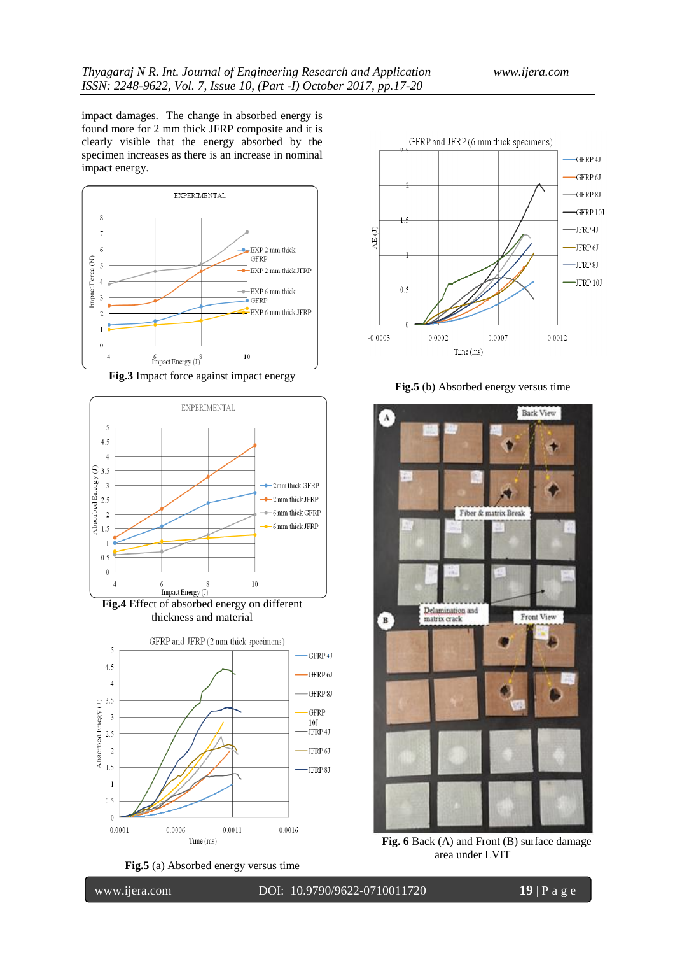impact damages. The change in absorbed energy is found more for 2 mm thick JFRP composite and it is clearly visible that the energy absorbed by the specimen increases as there is an increase in nominal impact energy.













**Fig.5** (b) Absorbed energy versus time



Fig. 6 Back (A) and Front (B) surface damage area under LVIT